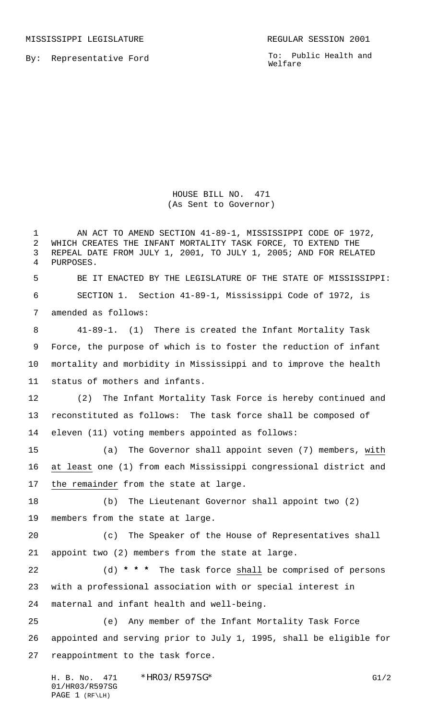MISSISSIPPI LEGISLATURE **REGULAR SESSION 2001** 

By: Representative Ford

To: Public Health and Welfare

HOUSE BILL NO. 471 (As Sent to Governor)

 AN ACT TO AMEND SECTION 41-89-1, MISSISSIPPI CODE OF 1972, WHICH CREATES THE INFANT MORTALITY TASK FORCE, TO EXTEND THE REPEAL DATE FROM JULY 1, 2001, TO JULY 1, 2005; AND FOR RELATED PURPOSES. BE IT ENACTED BY THE LEGISLATURE OF THE STATE OF MISSISSIPPI: SECTION 1. Section 41-89-1, Mississippi Code of 1972, is amended as follows: 41-89-1. (1) There is created the Infant Mortality Task Force, the purpose of which is to foster the reduction of infant mortality and morbidity in Mississippi and to improve the health status of mothers and infants. (2) The Infant Mortality Task Force is hereby continued and reconstituted as follows: The task force shall be composed of eleven (11) voting members appointed as follows: (a) The Governor shall appoint seven (7) members, with at least one (1) from each Mississippi congressional district and the remainder from the state at large. (b) The Lieutenant Governor shall appoint two (2) members from the state at large. (c) The Speaker of the House of Representatives shall appoint two (2) members from the state at large. (d) **\* \* \*** The task force shall be comprised of persons with a professional association with or special interest in maternal and infant health and well-being. (e) Any member of the Infant Mortality Task Force appointed and serving prior to July 1, 1995, shall be eligible for reappointment to the task force.

H. B. No. 471 \* HRO3/R597SG\* G1/2 01/HR03/R597SG PAGE 1 (RF\LH)